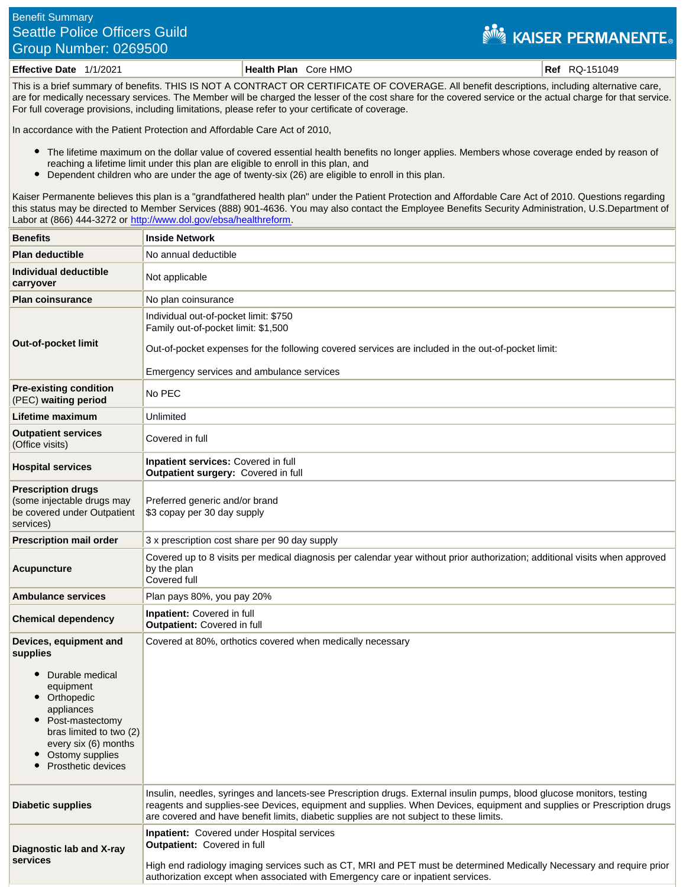## Benefit Summary Seattle Police Officers Guild Group Number: 0269500

## **NEW KAISER PERMANENTE**

**Effective Date** 1/1/2021 **Health Plan** Core HMO **Ref** RQ-151049

This is a brief summary of benefits. THIS IS NOT A CONTRACT OR CERTIFICATE OF COVERAGE. All benefit descriptions, including alternative care, are for medically necessary services. The Member will be charged the lesser of the cost share for the covered service or the actual charge for that service. For full coverage provisions, including limitations, please refer to your certificate of coverage.

In accordance with the Patient Protection and Affordable Care Act of 2010,

- The lifetime maximum on the dollar value of covered essential health benefits no longer applies. Members whose coverage ended by reason of reaching a lifetime limit under this plan are eligible to enroll in this plan, and
- $\bullet$ Dependent children who are under the age of twenty-six (26) are eligible to enroll in this plan.

Kaiser Permanente believes this plan is a "grandfathered health plan" under the Patient Protection and Affordable Care Act of 2010. Questions regarding this status may be directed to Member Services (888) 901-4636. You may also contact the Employee Benefits Security Administration, U.S.Department of Labor at (866) 444-3272 or<http://www.dol.gov/ebsa/healthreform>.

| <b>Benefits</b>                                                                                                                                                                                               | <b>Inside Network</b>                                                                                                                                                                                                                                                                                                                      |
|---------------------------------------------------------------------------------------------------------------------------------------------------------------------------------------------------------------|--------------------------------------------------------------------------------------------------------------------------------------------------------------------------------------------------------------------------------------------------------------------------------------------------------------------------------------------|
| <b>Plan deductible</b>                                                                                                                                                                                        | No annual deductible                                                                                                                                                                                                                                                                                                                       |
| Individual deductible<br>carryover                                                                                                                                                                            | Not applicable                                                                                                                                                                                                                                                                                                                             |
| <b>Plan coinsurance</b>                                                                                                                                                                                       | No plan coinsurance                                                                                                                                                                                                                                                                                                                        |
| <b>Out-of-pocket limit</b>                                                                                                                                                                                    | Individual out-of-pocket limit: \$750<br>Family out-of-pocket limit: \$1,500<br>Out-of-pocket expenses for the following covered services are included in the out-of-pocket limit:<br>Emergency services and ambulance services                                                                                                            |
| <b>Pre-existing condition</b><br>(PEC) waiting period                                                                                                                                                         | No PEC                                                                                                                                                                                                                                                                                                                                     |
| Lifetime maximum                                                                                                                                                                                              | Unlimited                                                                                                                                                                                                                                                                                                                                  |
| <b>Outpatient services</b><br>(Office visits)                                                                                                                                                                 | Covered in full                                                                                                                                                                                                                                                                                                                            |
| <b>Hospital services</b>                                                                                                                                                                                      | Inpatient services: Covered in full<br>Outpatient surgery: Covered in full                                                                                                                                                                                                                                                                 |
| <b>Prescription drugs</b><br>(some injectable drugs may<br>be covered under Outpatient<br>services)                                                                                                           | Preferred generic and/or brand<br>\$3 copay per 30 day supply                                                                                                                                                                                                                                                                              |
| <b>Prescription mail order</b>                                                                                                                                                                                | 3 x prescription cost share per 90 day supply                                                                                                                                                                                                                                                                                              |
| Acupuncture                                                                                                                                                                                                   | Covered up to 8 visits per medical diagnosis per calendar year without prior authorization; additional visits when approved<br>by the plan<br>Covered full                                                                                                                                                                                 |
| <b>Ambulance services</b>                                                                                                                                                                                     | Plan pays 80%, you pay 20%                                                                                                                                                                                                                                                                                                                 |
| <b>Chemical dependency</b>                                                                                                                                                                                    | Inpatient: Covered in full<br>Outpatient: Covered in full                                                                                                                                                                                                                                                                                  |
| Devices, equipment and<br>supplies<br>Durable medical<br>equipment<br>Orthopedic<br>appliances<br>Post-mastectomy<br>bras limited to two (2)<br>every six (6) months<br>Ostomy supplies<br>Prosthetic devices | Covered at 80%, orthotics covered when medically necessary                                                                                                                                                                                                                                                                                 |
| <b>Diabetic supplies</b>                                                                                                                                                                                      | Insulin, needles, syringes and lancets-see Prescription drugs. External insulin pumps, blood glucose monitors, testing<br>reagents and supplies-see Devices, equipment and supplies. When Devices, equipment and supplies or Prescription drugs<br>are covered and have benefit limits, diabetic supplies are not subject to these limits. |
| Diagnostic lab and X-ray<br>services                                                                                                                                                                          | <b>Inpatient:</b> Covered under Hospital services<br><b>Outpatient:</b> Covered in full<br>High end radiology imaging services such as CT, MRI and PET must be determined Medically Necessary and require prior<br>authorization except when associated with Emergency care or inpatient services.                                         |